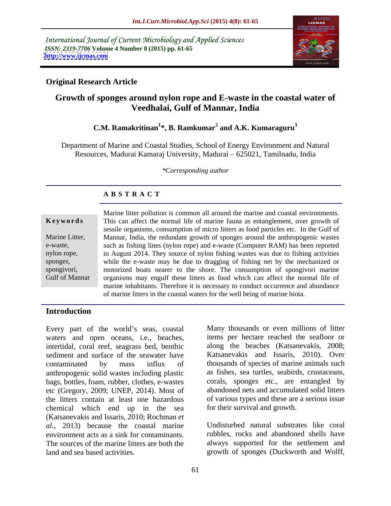International Journal of Current Microbiology and Applied Sciences *ISSN: 2319-7706* **Volume 4 Number 8 (2015) pp. 61-65 <http://www.ijcmas.com>**



## **Original Research Article**

# **Growth of sponges around nylon rope and E-waste in the coastal water of Veedhalai, Gulf of Mannar, India**

### **C.M. Ramakritinan<sup>1</sup> \*, B. Ramkumar<sup>2</sup> and A.K. Kumaraguru<sup>3</sup>**

Department of Marine and Coastal Studies, School of Energy Environment and Natural Resources, Madurai Kamaraj University, Madurai - 625021, Tamilnadu, India

*\*Corresponding author*

### **A B S T R A C T**

Gulf of Mannar

Marine litter pollution is common all around the marine and coastal environments. **Keywords** This can affect the normal life of marine fauna as entanglement, over growth of sessile organisms, consumption of micro litters as food particles etc. In the Gulf of Marine Litter, Mannar, India, the redundant growth of sponges around the anthropogenic wastes such as fishing lines (nylon rope) and e-waste (Computer RAM) has been reported e-waste, nylon rope, in August 2014. They source of nylon fishing wastes was due to fishing activities while the e-waste may be due to dragging of fishing net by the mechanized or sponges, motorized boats nearer to the shore. The consumption of spongivori marine spongivori, organisms may engulf these litters as food which can affect the normal life of marine inhabitants. Therefore it is necessary to conduct occurrence and abundance of marine litters in the coastal waters for the well being of marine biota.

### **Introduction**

Every part of the world's seas, coastal waters and open oceans, *i.e.*, beaches, intertidal, coral reef, seagrass bed, benthic sediment and surface of the seawater have contaminated by mass influx of thousands of species of marine animals such anthropogenic solid wastes including plastic bags, bottles, foam, rubber, clothes, e-wastes etc (Gregory, 2009; UNEP, 2014). Most of the litters contain at least one hazardous chemical which end up in the sea (Katsanevakis and Issaris, 2010; Rochman *et al.,* 2013) because the coastal marine environment acts as a sink for contaminants. The sources of the marine litters are both the always supported for the settlement and

Many thousands or even millions of litter items per hectare reached the seafloor or along the beaches (Katsanevakis, 2008; Katsanevakis and Issaris, 2010). Over as fishes, sea turtles, seabirds, crustaceans, corals, sponges etc., are entangled by abandoned nets and accumulated solid litters of various types and these are a serious issue for their survival and growth.

land and sea based activities. growth of sponges (Duckworth and Wolff, Undisturbed natural substrates like coral rubbles, rocks and abandoned shells have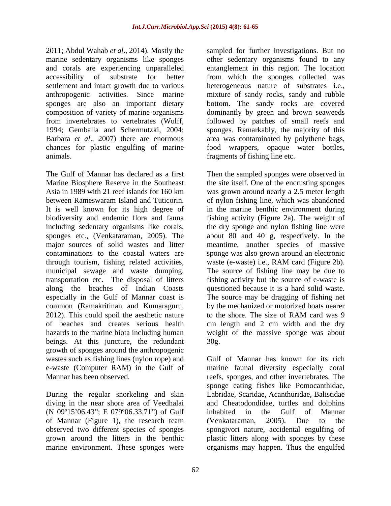marine sedentary organisms like sponges and corals are experiencing unparalleled chances for plastic engulfing of marine animals. fragments of fishing line etc.

The Gulf of Mannar has declared as a first Then the sampled sponges were observed in Marine Biosphere Reserve in the Southeast the site itself. One of the encrusting sponges Asia in 1989 with 21 reef islands for 160 km was grown around nearly a 2.5 meter length between Rameswaram Island and Tuticorin. of nylon fishing line, which was abandoned It is well known for its high degree of in the marine benthic environment during biodiversity and endemic flora and fauna fishing activity (Figure 2a). The weight of including sedentary organisms like corals, the dry sponge and nylon fishing line were sponges etc., (Venkataraman, 2005). The about 80 and 40 g, respectively. In the major sources of solid wastes and litter meantime, another species of massive contaminations to the coastal waters are sponge was also grown around an electronic through tourism, fishing related activities, waste (e-waste) i.e., RAM card (Figure 2b). municipal sewage and waste dumping, The source of fishing line may be due to transportation etc. The disposal of litters along the beaches of Indian Coasts questioned because it is a hard solid waste. especially in the Gulf of Mannar coast is common (Ramakritinan and Kumaraguru, by the mechanized or motorized boats nearer 2012). This could spoil the aesthetic nature<br>of beaches and creates serious health cm length and 2 cm width and the dry of beaches and creates serious health cm length and 2 cm width and the dry hazards to the marine biota including human weight of the massive sponge was about beings. At this juncture, the redundant 30g. growth of sponges around the anthropogenic

During the regular snorkeling and skin (N 09°15'06.43"; E 079°06.33.71") of Gulf inhabited in the Gulf of Mannar

2011; Abdul Wahab *et al*., 2014). Mostly the sampled for further investigations. But no accessibility of substrate for better from which the sponges collected was settlement and intact growth due to various heterogeneous nature of substrates i.e., anthropogenic activities. Since marine mixture of sandy rocks, sandy and rubble sponges are also an important dietary bottom. The sandy rocks are covered composition of variety of marine organisms dominantly by green and brown seaweeds from invertebrates to vertebrates (Wulff, followed by patches of small reefs and 1994; Gemballa and Schermutzki, 2004; sponges. Remarkably, the majority of this Barbara *et al*., 2007) there are enormous area was contaminated by polythene bags, other sedentary organisms found to any entanglement in this region. The location food wrappers, opaque water bottles,

> fishing activity but the source of e-waste is The source may be dragging of fishing net to the shore. The size of RAM card was 9 30g.

wastes such as fishing lines (nylon rope) and Gulf of Mannar has known for its rich e-waste (Computer RAM) in the Gulf of marine faunal diversity especially coral Mannar has been observed. The reefs, sponges, and other invertebrates. The diving in the near shore area of Veedhalai and Cheatodondidae, turtles and dolphins of Mannar (Figure 1), the research team (Venkataraman, 2005). Due to the observed two different species of sponges spongivori nature, accidental engulfing of grown around the litters in the benthic plastic litters along with sponges by these marine environment. These sponges were organisms may happen. Thus the engulfedsponge eating fishes like Pomocanthidae, Labridae, Scaridae, Acanthuridae, Balistidae inhabited in the Gulf of Mannar (Venkataraman, 2005). Due to the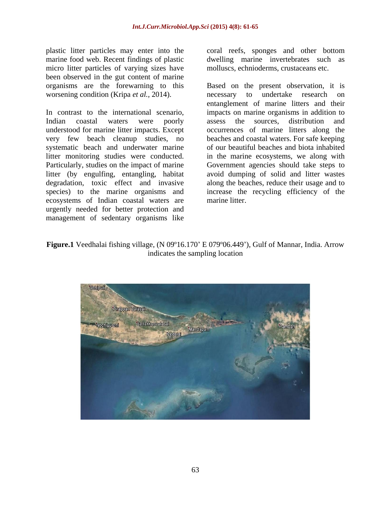plastic litter particles may enter into the marine food web. Recent findings of plastic dwelling marine invertebrates such as micro litter particles of varying sizes have been observed in the gut content of marine worsening condition (Kripa *et al.*, 2014). The necessary to undertake research on

In contrast to the international scenario, impacts on marine organisms in addition to Indian coastal waters were poorly assess the sources, distribution and understood for marine litter impacts. Except very few beach cleanup studies, no beaches and coastal waters. For safe keeping systematic beach and underwater marine litter monitoring studies were conducted. in the marine ecosystems, we along with Particularly, studies on the impact of marine Government agencies should take steps to litter (by engulfing, entangling, habitat degradation, toxic effect and invasive along the beaches, reduce their usage and to species) to the marine organisms and increase the recycling efficiency of the ecosystems of Indian coastal waters are urgently needed for better protection and management of sedentary organisms like

coral reefs, sponges and other bottom molluscs, echnioderms, crustaceans etc.

organisms are the forewarning to this Based on the present observation, it is necessary to undertake research on entanglement of marine litters and their assess the sources, distribution and occurrences of marine litters along the of our beautiful beaches and biota inhabited avoid dumping of solid and litter wastes marine litter.

Figure.1 Veedhalai fishing village, (N 09°16.170' E 079°06.449'), Gulf of Mannar, India. Arrow indicates the sampling location

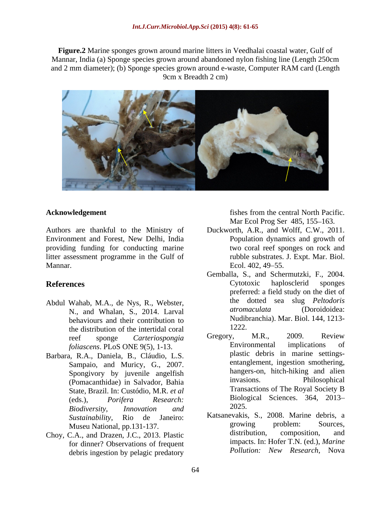**Figure.2** Marine sponges grown around marine litters in Veedhalai coastal water, Gulf of Mannar, India (a) Sponge species grown around abandoned nylon fishing line (Length 250cm and 2 mm diameter); (b) Sponge species grown around e-waste, Computer RAM card (Length 9cm x Breadth 2 cm)



Authors are thankful to the Ministry of Duckworth, A.R., and Wolff, C.W., 2011. Environment and Forest, New Delhi, India providing funding for conducting marine litter assessment programme in the Gulf of Mannar. Ecol. 402, 49–55.

- Abdul Wahab, M.A., de Nys, R., Webster, the dotted sea slug *Peltodoris*<br>N and Whalan S 2014 Larval *atromaculata* (Doroidoidea: N., and Whalan, S., 2014. Larval behaviours and their contribution to<br>the distribution of the intertidal coral to  $1222$ . the distribution of the intertidal coral  $\frac{1222}{\text{Gregory}}$ . M.R., 2009. Review *foliascens*. PLoS ONE 9(5), 1-13.
- Barbara, R.A., Daniela, B., Cláudio, L.S. Sampaio, and Muricy, G., 2007. (Pomacanthidae) in Salvador, Bahia State, Brazil. In: Custódio, M.R. *et al Biodiversity, Innovation and*
- Choy, C.A., and Drazen, J.C., 2013. Plastic for dinner? Observations of frequent debris ingestion by pelagic predatory

**Acknowledgement** is the state of the state of the state of the state of the central North Pacific. fishes from the central North Pacific. Mar Ecol Prog Ser 485, 155-163.

- Population dynamics and growth of two coral reef sponges on rock and rubble substrates. J. Expt. Mar. Biol. Ecol. 402, 49–55.
- **References** extending the cytotoxic haplosclerid sponges Gemballa, S., and Schermutzki, F., 2004. Cytotoxic haplosclerid sponges preferred: a field study on the diet of the dotted sea slug *Peltodoris atromaculata* (Doroidoidea: Nudibranchia). Mar. Biol. 144, 1213- 1222.
	- reef sponge *Carteriospongia* Gregory, M.R., 2009. Review<br> *Colinscens* PL os ONE 9(5) 1-13<br>
	Environmental implications of Spongivory by juvenile angelfish hangers-on, hitch-hiking and alien<br>(Bomacanthidae) in Salvador Babia invasions. Philosophical (eds.), *Porifera Research:*  Gregory, M.R., 2009. Review Environmental implications of plastic debris in marine settings entanglement, ingestion smothering, hangers-on, hitch-hiking and alien invasions. Philosophical Transactions of The Royal Society B Biological Sciences. 364, 2013 2025.
	- *Sustainability*, Rio de Janeiro: Katsanevakis, S., 2008. Marine debris, a Museu National, pp.131-137.<br>
	C.A. and Drazen, L.C. 2013, Plastic and distribution, composition, and growing problem: Sources, distribution, composition, and impacts. In: Hofer T.N. (ed.), *Marine Pollution: New Research*, Nova